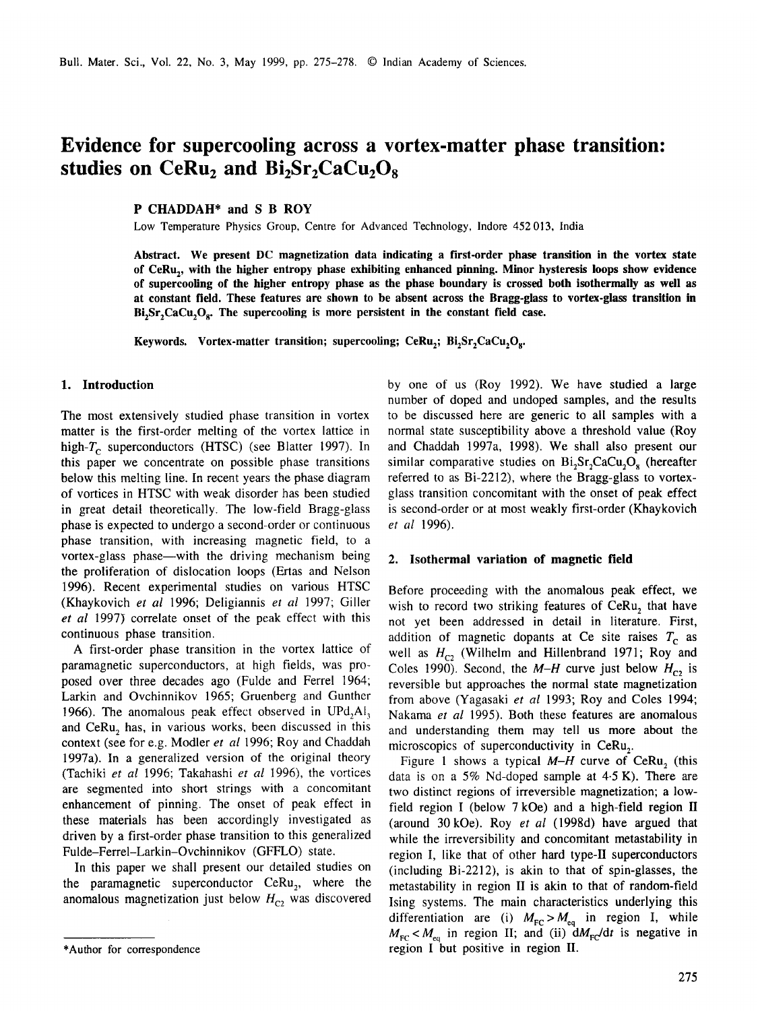# **Evidence for supercooling across a vortex-matter phase transition:**  studies on CeRu<sub>2</sub> and Bi<sub>2</sub>Sr<sub>2</sub>CaCu<sub>2</sub>O<sub>8</sub>

# **P CHADDAH\* and S B ROY**

Low Temperature Physics Group, Centre for Advanced Technology, Indore 452013, India

**Abstract. We present DC magnetization data indicating a first-order phase transition in the vortex state**  of CeRu<sub>1</sub>, with the higher entropy phase exhibiting enhanced pinning. Minor hysteresis loops show evidence **of supercooling of the higher entropy phase as the phase boundary is crossed both isothermally as well as at constant field. These features are shown to be absent across the Bragg-glass to vortex-glass transition in**   $Bi<sub>2</sub>Sr<sub>2</sub>CaCu<sub>2</sub>O<sub>8</sub>$ . The supercooling is more persistent in the constant field case.

**Keywords.** Vortex-matter transition; supercooling; CeRu<sub>2</sub>; Bi<sub>2</sub>Sr<sub>2</sub>CaCu<sub>2</sub>O<sub>8</sub>.

## **1. Introduction**

The most extensively studied phase transition in vortex matter is the first-order melting of the vortex lattice in high- $T_c$  superconductors (HTSC) (see Blatter 1997). In this paper we concentrate on possible phase transitions below this melting line. In recent years the phase diagram of vortices in HTSC with weak disorder has been studied in great detail theoretically. The low-field Bragg-glass phase is expected to undergo a second-order or continuous phase transition, with increasing magnetic field, to a vortex-glass phase—with the driving mechanism being the proliferation of dislocation loops (Ertas and Nelson 1996). Recent experimental studies on various HTSC (Khaykovich *et al* 1996; Deligiannis *et al* 1997; Giller et al 1997) correlate onset of the peak effect with this continuous phase transition.

A first-order phase transition in the vortex lattice of paramagnetic superconductors, at high fields, was proposed over three decades ago (Fulde and Ferrel 1964; Larkin and Ovchinnikov 1965; Gruenberg and Gunther 1966). The anomalous peak effect observed in UPd, $AI_3$ and CeRu, has, in various works, been discussed in this context (see for e.g. Modler *et al* 1996; Roy and Chaddah 1997a). In a generalized version of the original theory (Tachiki et al 1996; Takahashi et al 1996), the vortices are segmented into short strings with a concomitant enhancement of pinning. The onset of peak effect in these materials has been accordingly investigated as driven by a first-order phase transition to this generalized Fulde-Ferrel-Larkin-Ovchinnikov (GFFLO) state.

In this paper we shall present our detailed studies on the paramagnetic superconductor  $Cer(u_2,$  where the anomalous magnetization just below  $H_{C<sub>2</sub>}$  was discovered by one of us (Roy 1992). We have studied a large number of doped and undoped samples, and the results to be discussed here are generic to all samples with a normal state susceptibility above a threshold value (Roy and Chaddah 1997a, 1998). We shall also present our similar comparative studies on  $Bi<sub>2</sub>Sr<sub>2</sub>CaCu<sub>2</sub>O<sub>8</sub>$  (hereafter referred to as Bi-2212), where the Bragg-glass to vortexglass transition concomitant with the onset of peak effect is second-order or at most weakly first-order (Khaykovich *et al* 1996).

#### **2. Isothermal variation of magnetic field**

Before proceeding with the anomalous peak effect, we wish to record two striking features of CeRu, that have not yet been addressed in detail in literature. First, addition of magnetic dopants at Ce site raises  $T_c$  as well as  $H_{C_2}$  (Wilhelm and Hillenbrand 1971; Roy and Coles 1990). Second, the  $M-H$  curve just below  $H_{C_2}$  is reversible but approaches the normal state magnetization from above (Yagasaki *et al* 1993; Roy and Coles 1994; Nakama *et al* 1995). Both these features are anomalous and understanding them may tell us more about the microscopics of superconductivity in CeRu<sub>2</sub>.

Figure 1 shows a typical  $M-H$  curve of CeRu, (this data is on a 5% Nd-doped sample at 4.5 K). There are two distinct regions of irreversible magnetization; a lowfield region I (below 7 kOe) and a high-field region II (around 30kOe). Roy *et al* (1998d) have argued that while the irreversibility and concomitant metastability in region I, like that of other hard type-II superconductors (including Bi-2212), is akin to that of spin-glasses, the metastability in region II is akin to that of random-field Ising systems. The main characteristics underlying this differentiation are (i)  $M_{\text{FC}} > M_{\text{eq}}$  in region I, while  $M_{\text{FC}} < M_{\text{eq}}$  in region II; and (ii)  $dM_{\text{FC}}/dt$  is negative in region I but positive in region II.

<sup>\*</sup>Author for correspondence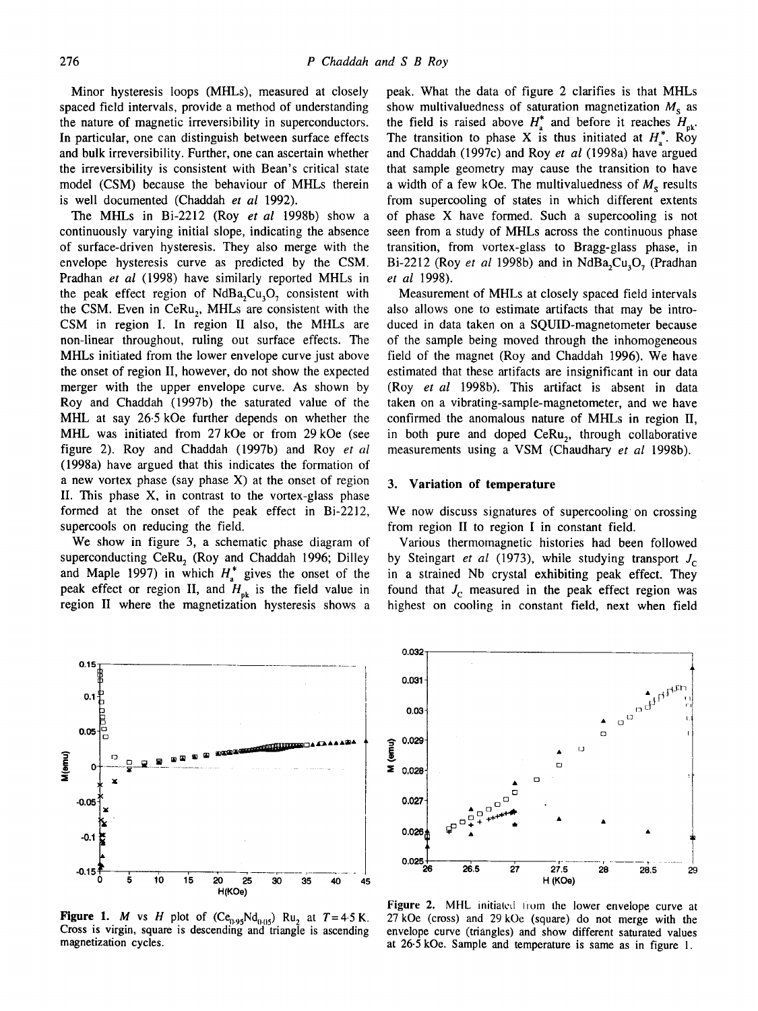Minor hysteresis loops (MHLs), measured at closely spaced field intervals, provide a method of understanding the nature of magnetic irreversibility in superconductors. In particular, one can distinguish between surface effects and bulk irreversibility. Further, one can ascertain whether the irreversibility is consistent with Bean's critical state model (CSM) because the behaviour of MHLs therein is well documented (Chaddah *et al* 1992).

The MHLs in Bi-2212 (Roy *et al* 1998b) show a continuously varying initial slope, indicating the absence of surface-driven hysteresis. They also merge with the envelope hysteresis curve as predicted by the CSM. Pradhan *et al* (1998) have similarly reported MHLs in the peak effect region of NdBa<sub>2</sub>Cu<sub>3</sub>O<sub>2</sub> consistent with the CSM. Even in CeRu<sub>2</sub>, MHLs are consistent with the CSM in region I. In region II also, the MHLs are non-linear throughout, ruling out surface effects. The MHLs initiated from the lower envelope curve just above the onset of region II, however, do not show the expected merger with the upper envelope curve. As shown by Roy and Chaddah (1997b) the saturated value of the MHL at say 26.5 kOe further depends on whether the MHL was initiated from 27 kOe or from 29 kOe (see figure 2). Roy and Chaddah (1997b) and Roy *et al*  (1998a) have argued that this indicates the formation of a new vortex phase (say phase X) at the onset of region II. This phase X, in contrast to the vortex-glass phase formed at the onset of the peak effect in Bi-2212, supercools on reducing the field.

We show in figure 3, a schematic phase diagram of superconducting CeRu, (Roy and Chaddah 1996; Dilley and Maple 1997) in which  $H_a^*$  gives the onset of the peak effect or region II, and  $H_{pk}$  is the field value in region II where the magnetization hysteresis shows a peak. What the data of figure 2 clarifies is that MHLs show multivaluedness of saturation magnetization  $M_s$  as the field is raised above  $H_{\text{a}}^*$  and before it reaches  $H_{\text{nk}}$ . The transition to phase X is thus initiated at  $H_a^*$ . Roy and Chaddah (1997c) and Roy *et al* (1998a) have argued that sample geometry may cause the transition to have a width of a few kOe. The multivaluedness of  $M<sub>s</sub>$  results from supercooling of states in which different extents of phase X have formed. Such a supercooling is not seen from a study of MHLs across the continuous phase transition, from vortex-glass to Bragg-glass phase, in Bi-2212 (Roy *et al* 1998b) and in NdBa<sub>2</sub>Cu<sub>3</sub>O<sub>2</sub> (Pradhan *et al* 1998).

Measurement of MHLs at closely spaced field intervals also allows one to estimate artifacts that may be introduced in data taken on a SQUID-magnetometer because of the sample being moved through the inhomogeneous field of the magnet (Roy and Chaddah 1996). We have estimated that these artifacts are insignificant in our data (Roy *et al* 1998b). This artifact is absent in data taken on a vibrating-sample-magnetometer, and we have confirmed the anomalous nature of MHLs in region II, in both pure and doped  $Cer(u_2)$ , through collaborative measurements using a VSM (Chaudhary *et al* 1998b).

#### **3. Variation of temperature**

We now discuss signatures of supercooling on crossing from region II to region I in constant field.

Various thermomagnetic histories had been followed by Steingart *et al* (1973), while studying transport J<sub>c</sub> in a strained Nb crystal exhibiting peak effect. They found that  $J_c$  measured in the peak effect region was highest on cooling in constant field, next when field



**Figure 1.** *M* vs *H* plot of (Ce<sub>0.95</sub>Nd<sub>0.05</sub>) Ru<sub>2</sub> at  $T=4.5$  K. Cross is virgin, square is descending and triangle is ascending magnetization cycles.



Figure 2. MHL initiated from the lower envelope curve at 27 kOe (cross) and 29 kOe (square) do not merge with the envelope curve (triangles) and show different saturated values at 26.5 kOe. Sample and temperature is same as in figure 1.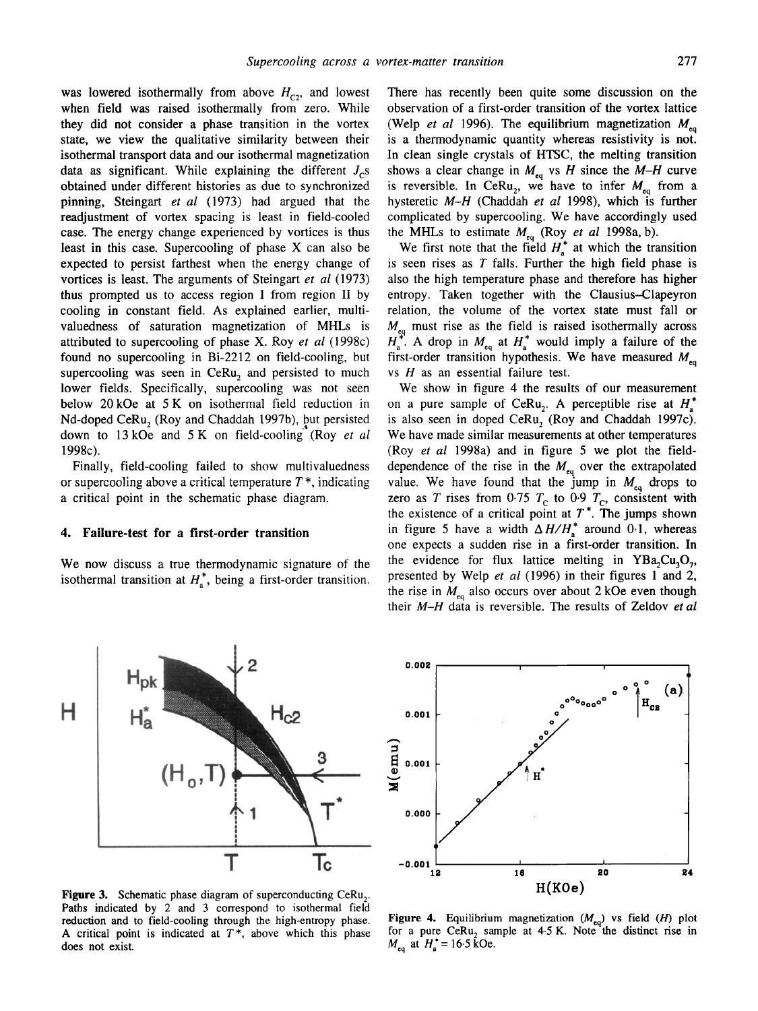was lowered isothermally from above  $H_{C2}$ , and lowest when field was raised isothermally from zero. While they did not consider a phase transition in the vortex state, we view the qualitative similarity between their isothermal transport data and our isothermal magnetization data as significant. While explaining the different  $J_c$ s obtained under different histories as due to synchronized pinning, Steingart *et al* (1973) had argued that the readjustment of vortex spacing is least in field-cooled case. The energy change experienced by vortices is thus least in this case. Supercooling of phase X can also be expected to persist farthest when the energy change of vortices is least. The arguments of Steingart *et al* (1973) thus prompted us to access region I from region II by cooling in constant field. As explained earlier, multivaluedness of saturation magnetization of MHLs is attributed to supercooling of phase X. Roy *et al* (1998c) found no supercooling in Bi-2212 on field-cooling, but supercooling was seen in CeRu, and persisted to much lower fields. Specifically, supercooling was not seen below 20kOe at 5 K on isothermal field reduction in Nd-doped CeRu, (Roy and Chaddah 1997b), but persisted down to 13kOe and 5 K on field-cooling (Roy *et al*  1998c).

Finally, field-cooling failed to show multivaluedness or supercooling above a critical temperature  $T^*$ , indicating a critical point in the schematic phase diagram.

# **4. Failure-test for a first-order transition**

We now discuss a true thermodynamic signature of the isothermal transition at  $H_a^*$ , being a first-order transition.

There has recently been quite some discussion on the observation of a first-order transition of the vortex lattice (Welp *et al* 1996). The equilibrium magnetization  $M_{eq}$ is a thermodynamic quantity whereas resistivity is not. In clean single crystals of HTSC, the melting transition shows a clear change in  $M_{eq}$  vs H since the  $M-H$  curve is reversible. In CeRu<sub>2</sub>, we have to infer  $M_{eq}$  from a hysteretic *M-H* (Chaddah *et al* 1998), which is further complicated by supercooling. We have accordingly used the MHLs to estimate  $M_{eq}$  (Roy *et al 1998a, b)*.

We first note that the field  $H_a^*$  at which the transition is seen rises as  $T$  falls. Further the high field phase is also the high temperature phase and therefore has higher entropy. Taken together with the Clausius-Clapeyron relation, the volume of the vortex state must fall or  $M_{\rm eq}$  must rise as the field is raised isothermally across  $\int_{a}^{\infty}$ . A drop in  $M_{eq}$  at  $H_{q}^{\infty}$  would imply a failure of the first-order transition hypothesis. We have measured  $M_{eq}$ vs  $H$  as an essential failure test.

We show in figure 4 the results of our measurement on a pure sample of CeRu<sub>2</sub>. A perceptible rise at  $H_{\alpha}^*$ is also seen in doped CeRu, (Roy and Chaddah 1997c). We have made similar measurements at other temperatures (Roy *et al* 1998a) and in figure 5 we plot the fielddependence of the rise in the  $M_{\epsilon q}$  over the extrapolated value. We have found that the jump in  $M_{eq}$  drops to zero as T rises from 0.75  $T_c$  to 0.9  $T_c$ , consistent with the existence of a critical point at  $T^*$ . The jumps shown in figure 5 have a width  $\Delta H/H_*^*$  around 0.1, whereas one expects a sudden rise in a first-order transition. In the evidence for flux lattice melting in  $YBa, Cu<sub>3</sub>O<sub>7</sub>$ , presented by Welp *et al* (1996) in their figures 1 and 2, the rise in  $M_{eq}$  also occurs over about 2 kOe even though their *M-H* data is reversible. The results of Zeldov *et al* 

Figure 3. Schematic phase diagram of superconducting CeRu,. Paths indicated by 2 and 3 correspond to isothermal field reduction and to field-cooling through the high-entropy phase. A critical point is indicated at  $T^*$ , above which this phase does not exist.

Figure 4. Equilibrium magnetization  $(M_{eq})$  vs field  $(H)$  plot for a pure CeRu, sample at  $4.5$  K. Note the distinct rise in  $M_{eq}$  at  $H_a^* = 16.5$  kOe.